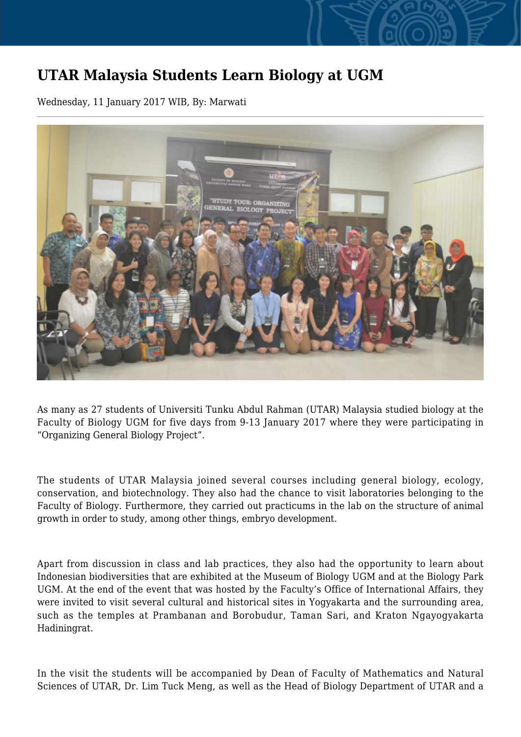## **UTAR Malaysia Students Learn Biology at UGM**

Wednesday, 11 January 2017 WIB, By: Marwati



As many as 27 students of Universiti Tunku Abdul Rahman (UTAR) Malaysia studied biology at the Faculty of Biology UGM for five days from 9-13 January 2017 where they were participating in "Organizing General Biology Project".

The students of UTAR Malaysia joined several courses including general biology, ecology, conservation, and biotechnology. They also had the chance to visit laboratories belonging to the Faculty of Biology. Furthermore, they carried out practicums in the lab on the structure of animal growth in order to study, among other things, embryo development.

Apart from discussion in class and lab practices, they also had the opportunity to learn about Indonesian biodiversities that are exhibited at the Museum of Biology UGM and at the Biology Park UGM. At the end of the event that was hosted by the Faculty's Office of International Affairs, they were invited to visit several cultural and historical sites in Yogyakarta and the surrounding area, such as the temples at Prambanan and Borobudur, Taman Sari, and Kraton Ngayogyakarta Hadiningrat.

In the visit the students will be accompanied by Dean of Faculty of Mathematics and Natural Sciences of UTAR, Dr. Lim Tuck Meng, as well as the Head of Biology Department of UTAR and a